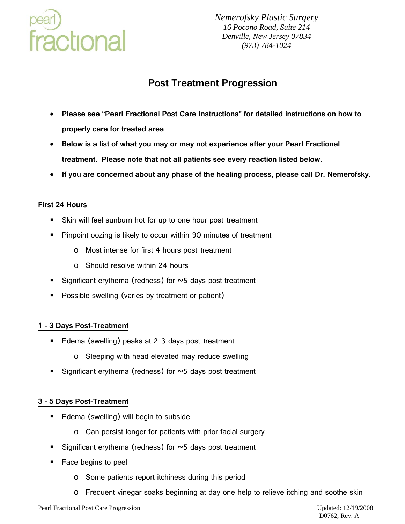

*Nemerofsky Plastic Surgery 16 Pocono Road, Suite 214 Denville, New Jersey 07834 (973) 784-1024*

# **Post Treatment Progression**

- **Please see "Pearl Fractional Post Care Instructions" for detailed instructions on how to properly care for treated area**
- **Below is a list of what you may or may not experience after your Pearl Fractional treatment. Please note that not all patients see every reaction listed below.**
- **If you are concerned about any phase of the healing process, please call Dr. Nemerofsky.**

## **First 24 Hours**

- Skin will feel sunburn hot for up to one hour post-treatment
- **Pinpoint oozing is likely to occur within 90 minutes of treatment** 
	- o Most intense for first 4 hours post-treatment
	- o Should resolve within 24 hours
- Significant erythema (redness) for  $\sim$  5 days post treatment
- **Possible swelling (varies by treatment or patient)**

## **1 - 3 Days Post-Treatment**

- Edema (swelling) peaks at 2-3 days post-treatment
	- o Sleeping with head elevated may reduce swelling
- Significant erythema (redness) for  $\sim$  5 days post treatment

#### **3 - 5 Days Post-Treatment**

- **Edema (swelling) will begin to subside** 
	- o Can persist longer for patients with prior facial surgery
- Significant erythema (redness) for  $\sim$  5 days post treatment
- Face begins to peel
	- o Some patients report itchiness during this period
	- o Frequent vinegar soaks beginning at day one help to relieve itching and soothe skin